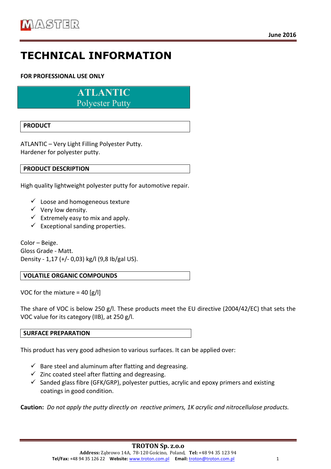# **TECHNICAL INFORMATION**

**FOR PROFESSIONAL USE ONLY** 

**ATLANTIC** Polyester Putty

**PRODUCT**

ATLANTIC – Very Light Filling Polyester Putty. Hardener for polyester putty.

**PRODUCT DESCRIPTION**

High quality lightweight polyester putty for automotive repair.

- $\checkmark$  Loose and homogeneous texture
- $\checkmark$  Very low density.
- $\checkmark$  Extremely easy to mix and apply.
- $\checkmark$  Exceptional sanding properties.

Color – Beige. Gloss Grade - Matt. Density - 1,17 (+/- 0,03) kg/l (9,8 Ib/gal US).

# **VOLATILE ORGANIC COMPOUNDS**

VOC for the mixture =  $40$  [g/l]

The share of VOC is below 250 g/l. These products meet the EU directive (2004/42/EC) that sets the VOC value for its category (IIB), at 250 g/l.

### **SURFACE PREPARATION**

This product has very good adhesion to various surfaces. It can be applied over:

- $\checkmark$  Bare steel and aluminum after flatting and degreasing.
- $\checkmark$  Zinc coated steel after flatting and degreasing.
- $\checkmark$  Sanded glass fibre (GFK/GRP), polyester putties, acrylic and epoxy primers and existing coatings in good condition.

**Caution:** Do not apply the putty directly on reactive primers, 1K acrylic and nitrocellulose products.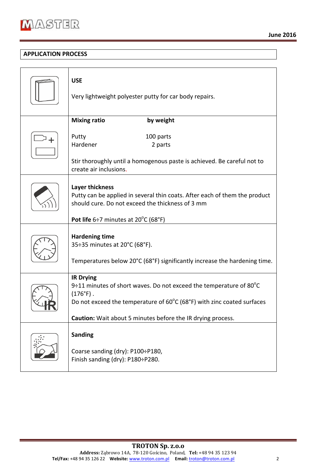

## **APPLICATION PROCESS**

|  | <b>USE</b><br>Very lightweight polyester putty for car body repairs.                                                                                                                                           |
|--|----------------------------------------------------------------------------------------------------------------------------------------------------------------------------------------------------------------|
|  | <b>Mixing ratio</b><br>by weight                                                                                                                                                                               |
|  | 100 parts<br>Putty<br>Hardener<br>2 parts                                                                                                                                                                      |
|  | Stir thoroughly until a homogenous paste is achieved. Be careful not to<br>create air inclusions.                                                                                                              |
|  | <b>Layer thickness</b><br>Putty can be applied in several thin coats. After each of them the product<br>should cure. Do not exceed the thickness of 3 mm<br>Pot life $6\div7$ minutes at $20^{\circ}$ C (68°F) |
|  |                                                                                                                                                                                                                |
|  | <b>Hardening time</b><br>35÷35 minutes at 20°C (68°F).                                                                                                                                                         |
|  | Temperatures below 20°C (68°F) significantly increase the hardening time.                                                                                                                                      |
|  | <b>IR Drying</b><br>9÷11 minutes of short waves. Do not exceed the temperature of $80^{\circ}$ C<br>$(176°F)$ .<br>Do not exceed the temperature of $60^{\circ}$ C (68°F) with zinc coated surfaces            |
|  | Caution: Wait about 5 minutes before the IR drying process.                                                                                                                                                    |
|  | <b>Sanding</b>                                                                                                                                                                                                 |
|  | Coarse sanding (dry): P100÷P180,<br>Finish sanding (dry): P180÷P280.                                                                                                                                           |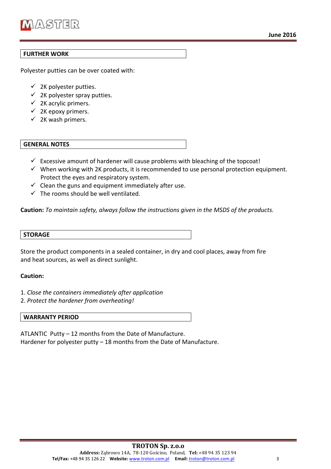

#### **FURTHER WORK**

Polyester putties can be over coated with:

- $\checkmark$  2K polyester putties.
- $\checkmark$  2K polyester spray putties.
- $\checkmark$  2K acrylic primers.
- $\checkmark$  2K epoxy primers.
- $\checkmark$  2K wash primers.

#### **GENERAL NOTES**

- $\checkmark$  Excessive amount of hardener will cause problems with bleaching of the topcoat!
- $\checkmark$  When working with 2K products, it is recommended to use personal protection equipment. Protect the eyes and respiratory system.
- $\checkmark$  Clean the guns and equipment immediately after use.
- $\checkmark$  The rooms should be well ventilated.

**Caution:** To maintain safety, always follow the instructions given in the MSDS of the products.

**STORAGE**

Store the product components in a sealed container, in dry and cool places, away from fire and heat sources, as well as direct sunlight.

### **Caution:**

- 1. *Close the containers immediately after application*
- 2. *Protect the hardener from overheating!*

### **WARRANTY PERIOD**

ATLANTIC Putty  $-12$  months from the Date of Manufacture. Hardener for polyester putty  $-18$  months from the Date of Manufacture.